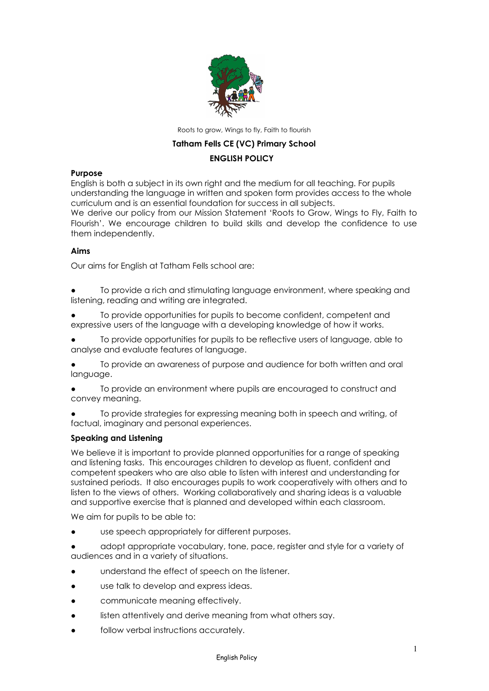

Roots to grow, Wings to fly, Faith to flourish

# **Tatham Fells CE (VC) Primary School**

# **ENGLISH POLICY**

## **Purpose**

English is both a subject in its own right and the medium for all teaching. For pupils understanding the language in written and spoken form provides access to the whole curriculum and is an essential foundation for success in all subjects.

We derive our policy from our Mission Statement 'Roots to Grow, Wings to Fly, Faith to Flourish'. We encourage children to build skills and develop the confidence to use them independently.

# **Aims**

Our aims for English at Tatham Fells school are:

To provide a rich and stimulating language environment, where speaking and listening, reading and writing are integrated.

To provide opportunities for pupils to become confident, competent and expressive users of the language with a developing knowledge of how it works.

To provide opportunities for pupils to be reflective users of language, able to analyse and evaluate features of language.

To provide an awareness of purpose and audience for both written and oral language.

To provide an environment where pupils are encouraged to construct and convey meaning.

To provide strategies for expressing meaning both in speech and writing, of factual, imaginary and personal experiences.

# **Speaking and Listening**

We believe it is important to provide planned opportunities for a range of speaking and listening tasks. This encourages children to develop as fluent, confident and competent speakers who are also able to listen with interest and understanding for sustained periods. It also encourages pupils to work cooperatively with others and to listen to the views of others. Working collaboratively and sharing ideas is a valuable and supportive exercise that is planned and developed within each classroom.

We aim for pupils to be able to:

- use speech appropriately for different purposes.
- adopt appropriate vocabulary, tone, pace, register and style for a variety of audiences and in a variety of situations.
- understand the effect of speech on the listener.
- use talk to develop and express ideas.
- communicate meaning effectively.
- listen attentively and derive meaning from what others say.
- follow verbal instructions accurately.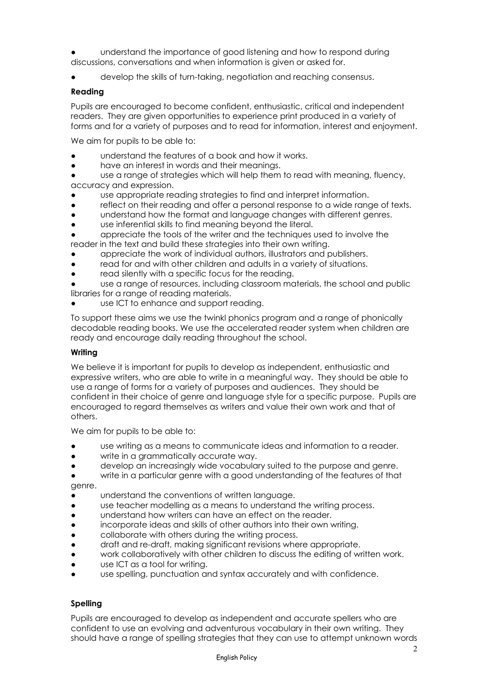- understand the importance of good listening and how to respond during discussions, conversations and when information is given or asked for.
- develop the skills of turn-taking, negotiation and reaching consensus.

## **Reading**

Pupils are encouraged to become confident, enthusiastic, critical and independent readers. They are given opportunities to experience print produced in a variety of forms and for a variety of purposes and to read for information, interest and enjoyment.

We aim for pupils to be able to:

- understand the features of a book and how it works.
- have an interest in words and their meanings.

● use a range of strategies which will help them to read with meaning, fluency, accuracy and expression.

- use appropriate reading strategies to find and interpret information.
- reflect on their reading and offer a personal response to a wide range of texts.
- understand how the format and language changes with different genres.
- use inferential skills to find meaning beyond the literal.
- appreciate the tools of the writer and the techniques used to involve the reader in the text and build these strategies into their own writing.
- appreciate the work of individual authors, illustrators and publishers.
- read for and with other children and adults in a variety of situations.
- read silently with a specific focus for the reading.

● use a range of resources, including classroom materials, the school and public libraries for a range of reading materials.

use ICT to enhance and support reading.

To support these aims we use the twinkl phonics program and a range of phonically decodable reading books. We use the accelerated reader system when children are ready and encourage daily reading throughout the school.

### **Writing**

We believe it is important for pupils to develop as independent, enthusiastic and expressive writers, who are able to write in a meaningful way. They should be able to use a range of forms for a variety of purposes and audiences. They should be confident in their choice of genre and language style for a specific purpose. Pupils are encouraged to regard themselves as writers and value their own work and that of others.

We aim for pupils to be able to:

- use writing as a means to communicate ideas and information to a reader.
- write in a grammatically accurate way.
- develop an increasingly wide vocabulary suited to the purpose and genre.
- write in a particular genre with a good understanding of the features of that genre.

● understand the conventions of written language.

- use teacher modelling as a means to understand the writing process.
- understand how writers can have an effect on the reader.
- incorporate ideas and skills of other authors into their own writing.
- collaborate with others during the writing process.
- draft and re-draft, making significant revisions where appropriate.
- work collaboratively with other children to discuss the editing of written work.
- use ICT as a tool for writing.
- use spelling, punctuation and syntax accurately and with confidence.

# **Spelling**

Pupils are encouraged to develop as independent and accurate spellers who are confident to use an evolving and adventurous vocabulary in their own writing. They should have a range of spelling strategies that they can use to attempt unknown words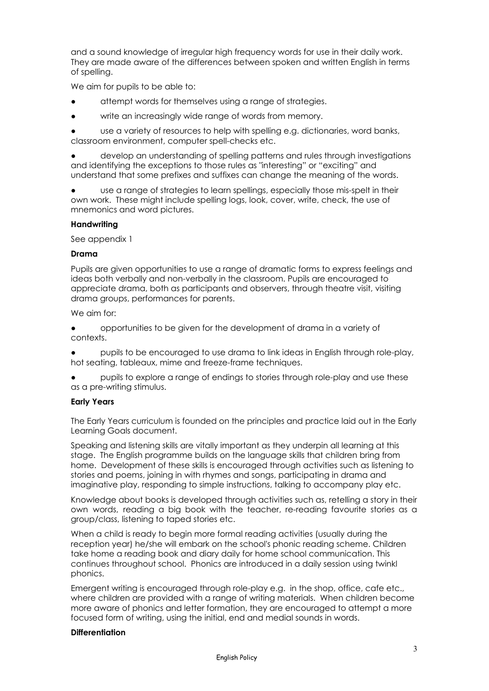and a sound knowledge of irregular high frequency words for use in their daily work. They are made aware of the differences between spoken and written English in terms of spelling.

We aim for pupils to be able to:

- attempt words for themselves using a range of strategies.
- write an increasingly wide range of words from memory.

use a variety of resources to help with spelling e.g. dictionaries, word banks, classroom environment, computer spell-checks etc.

develop an understanding of spelling patterns and rules through investigations and identifying the exceptions to those rules as "interesting" or "exciting" and understand that some prefixes and suffixes can change the meaning of the words.

● use a range of strategies to learn spellings, especially those mis-spelt in their own work. These might include spelling logs, look, cover, write, check, the use of mnemonics and word pictures.

### **Handwriting**

See appendix 1

#### **Drama**

Pupils are given opportunities to use a range of dramatic forms to express feelings and ideas both verbally and non-verbally in the classroom. Pupils are encouraged to appreciate drama, both as participants and observers, through theatre visit, visiting drama groups, performances for parents.

We aim for:

● opportunities to be given for the development of drama in a variety of contexts.

pupils to be encouraged to use drama to link ideas in English through role-play, hot seating, tableaux, mime and freeze-frame techniques.

pupils to explore a range of endings to stories through role-play and use these as a pre-writing stimulus.

### **Early Years**

The Early Years curriculum is founded on the principles and practice laid out in the Early Learning Goals document.

Speaking and listening skills are vitally important as they underpin all learning at this stage. The English programme builds on the language skills that children bring from home. Development of these skills is encouraged through activities such as listening to stories and poems, joining in with rhymes and songs, participating in drama and imaginative play, responding to simple instructions, talking to accompany play etc.

Knowledge about books is developed through activities such as, retelling a story in their own words, reading a big book with the teacher, re-reading favourite stories as a group/class, listening to taped stories etc.

When a child is ready to begin more formal reading activities (usually during the reception year) he/she will embark on the school's phonic reading scheme. Children take home a reading book and diary daily for home school communication. This continues throughout school. Phonics are introduced in a daily session using twinkl phonics.

Emergent writing is encouraged through role-play e.g. in the shop, office, cafe etc., where children are provided with a range of writing materials. When children become more aware of phonics and letter formation, they are encouraged to attempt a more focused form of writing, using the initial, end and medial sounds in words.

### **Differentiation**